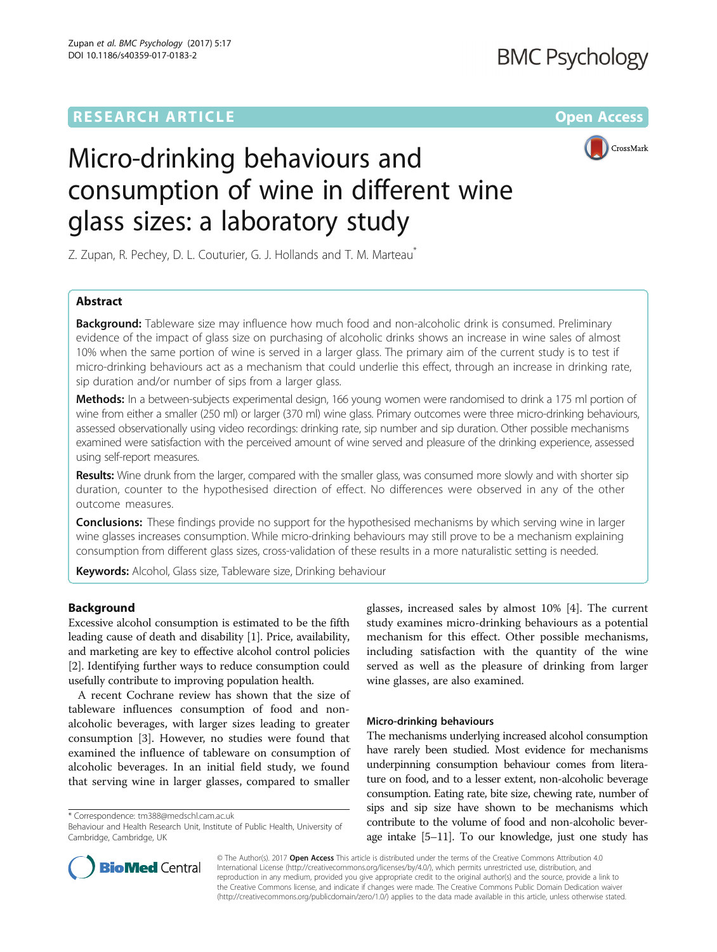# **RESEARCH ARTICLE External Structure Community Community Community Community Community Community Community Community**



# Micro-drinking behaviours and consumption of wine in different wine glass sizes: a laboratory study

Z. Zupan, R. Pechey, D. L. Couturier, G. J. Hollands and T. M. Marteau<sup>\*</sup>

## Abstract

**Background:** Tableware size may influence how much food and non-alcoholic drink is consumed. Preliminary evidence of the impact of glass size on purchasing of alcoholic drinks shows an increase in wine sales of almost 10% when the same portion of wine is served in a larger glass. The primary aim of the current study is to test if micro-drinking behaviours act as a mechanism that could underlie this effect, through an increase in drinking rate, sip duration and/or number of sips from a larger glass.

Methods: In a between-subjects experimental design, 166 young women were randomised to drink a 175 ml portion of wine from either a smaller (250 ml) or larger (370 ml) wine glass. Primary outcomes were three micro-drinking behaviours, assessed observationally using video recordings: drinking rate, sip number and sip duration. Other possible mechanisms examined were satisfaction with the perceived amount of wine served and pleasure of the drinking experience, assessed using self-report measures.

Results: Wine drunk from the larger, compared with the smaller glass, was consumed more slowly and with shorter sip duration, counter to the hypothesised direction of effect. No differences were observed in any of the other outcome measures.

**Conclusions:** These findings provide no support for the hypothesised mechanisms by which serving wine in larger wine glasses increases consumption. While micro-drinking behaviours may still prove to be a mechanism explaining consumption from different glass sizes, cross-validation of these results in a more naturalistic setting is needed.

Keywords: Alcohol, Glass size, Tableware size, Drinking behaviour

### Background

Excessive alcohol consumption is estimated to be the fifth leading cause of death and disability [\[1](#page-7-0)]. Price, availability, and marketing are key to effective alcohol control policies [[2\]](#page-7-0). Identifying further ways to reduce consumption could usefully contribute to improving population health.

A recent Cochrane review has shown that the size of tableware influences consumption of food and nonalcoholic beverages, with larger sizes leading to greater consumption [[3\]](#page-7-0). However, no studies were found that examined the influence of tableware on consumption of alcoholic beverages. In an initial field study, we found that serving wine in larger glasses, compared to smaller

\* Correspondence: [tm388@medschl.cam.ac.uk](mailto:tm388@medschl.cam.ac.uk)

glasses, increased sales by almost 10% [[4\]](#page-7-0). The current study examines micro-drinking behaviours as a potential mechanism for this effect. Other possible mechanisms, including satisfaction with the quantity of the wine served as well as the pleasure of drinking from larger wine glasses, are also examined.

### Micro-drinking behaviours

The mechanisms underlying increased alcohol consumption have rarely been studied. Most evidence for mechanisms underpinning consumption behaviour comes from literature on food, and to a lesser extent, non-alcoholic beverage consumption. Eating rate, bite size, chewing rate, number of sips and sip size have shown to be mechanisms which contribute to the volume of food and non-alcoholic beverage intake [\[5](#page-7-0)–[11\]](#page-7-0). To our knowledge, just one study has



© The Author(s). 2017 Open Access This article is distributed under the terms of the Creative Commons Attribution 4.0 International License [\(http://creativecommons.org/licenses/by/4.0/](http://creativecommons.org/licenses/by/4.0/)), which permits unrestricted use, distribution, and reproduction in any medium, provided you give appropriate credit to the original author(s) and the source, provide a link to the Creative Commons license, and indicate if changes were made. The Creative Commons Public Domain Dedication waiver [\(http://creativecommons.org/publicdomain/zero/1.0/](http://creativecommons.org/publicdomain/zero/1.0/)) applies to the data made available in this article, unless otherwise stated.

Behaviour and Health Research Unit, Institute of Public Health, University of Cambridge, Cambridge, UK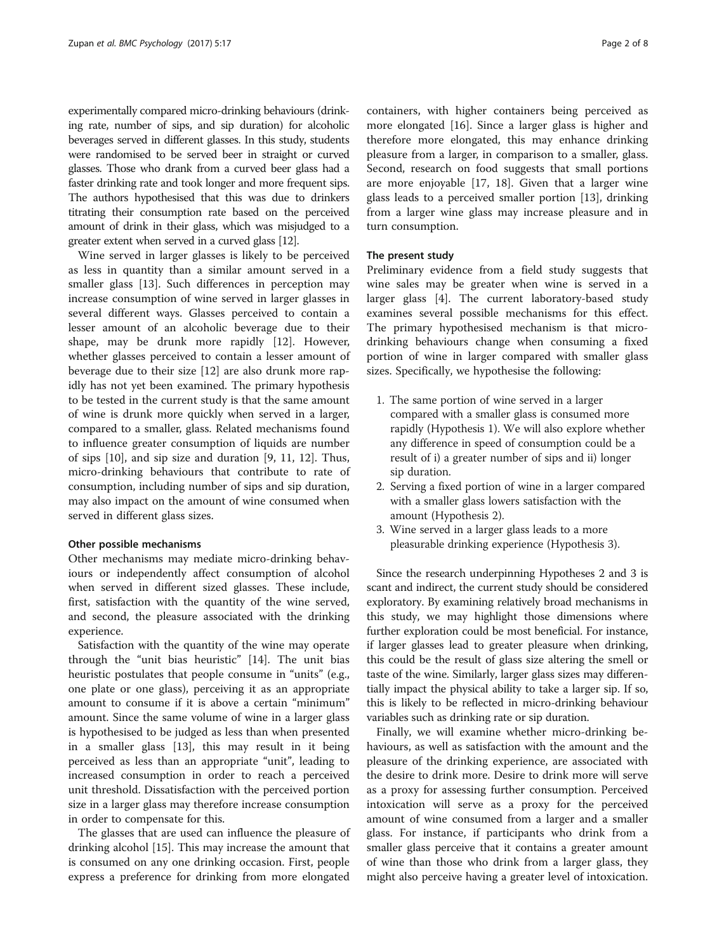experimentally compared micro-drinking behaviours (drinking rate, number of sips, and sip duration) for alcoholic beverages served in different glasses. In this study, students were randomised to be served beer in straight or curved glasses. Those who drank from a curved beer glass had a faster drinking rate and took longer and more frequent sips. The authors hypothesised that this was due to drinkers titrating their consumption rate based on the perceived amount of drink in their glass, which was misjudged to a greater extent when served in a curved glass [\[12\]](#page-7-0).

Wine served in larger glasses is likely to be perceived as less in quantity than a similar amount served in a smaller glass [\[13](#page-7-0)]. Such differences in perception may increase consumption of wine served in larger glasses in several different ways. Glasses perceived to contain a lesser amount of an alcoholic beverage due to their shape, may be drunk more rapidly [[12\]](#page-7-0). However, whether glasses perceived to contain a lesser amount of beverage due to their size [[12](#page-7-0)] are also drunk more rapidly has not yet been examined. The primary hypothesis to be tested in the current study is that the same amount of wine is drunk more quickly when served in a larger, compared to a smaller, glass. Related mechanisms found to influence greater consumption of liquids are number of sips [\[10](#page-7-0)], and sip size and duration [\[9](#page-7-0), [11, 12](#page-7-0)]. Thus, micro-drinking behaviours that contribute to rate of consumption, including number of sips and sip duration, may also impact on the amount of wine consumed when served in different glass sizes.

#### Other possible mechanisms

Other mechanisms may mediate micro-drinking behaviours or independently affect consumption of alcohol when served in different sized glasses. These include, first, satisfaction with the quantity of the wine served, and second, the pleasure associated with the drinking experience.

Satisfaction with the quantity of the wine may operate through the "unit bias heuristic" [\[14](#page-7-0)]. The unit bias heuristic postulates that people consume in "units" (e.g., one plate or one glass), perceiving it as an appropriate amount to consume if it is above a certain "minimum" amount. Since the same volume of wine in a larger glass is hypothesised to be judged as less than when presented in a smaller glass [[13\]](#page-7-0), this may result in it being perceived as less than an appropriate "unit", leading to increased consumption in order to reach a perceived unit threshold. Dissatisfaction with the perceived portion size in a larger glass may therefore increase consumption in order to compensate for this.

The glasses that are used can influence the pleasure of drinking alcohol [\[15](#page-7-0)]. This may increase the amount that is consumed on any one drinking occasion. First, people express a preference for drinking from more elongated

containers, with higher containers being perceived as more elongated [\[16](#page-7-0)]. Since a larger glass is higher and therefore more elongated, this may enhance drinking pleasure from a larger, in comparison to a smaller, glass. Second, research on food suggests that small portions are more enjoyable [[17, 18](#page-7-0)]. Given that a larger wine glass leads to a perceived smaller portion [\[13](#page-7-0)], drinking from a larger wine glass may increase pleasure and in turn consumption.

#### The present study

Preliminary evidence from a field study suggests that wine sales may be greater when wine is served in a larger glass [\[4](#page-7-0)]. The current laboratory-based study examines several possible mechanisms for this effect. The primary hypothesised mechanism is that microdrinking behaviours change when consuming a fixed portion of wine in larger compared with smaller glass sizes. Specifically, we hypothesise the following:

- 1. The same portion of wine served in a larger compared with a smaller glass is consumed more rapidly (Hypothesis 1). We will also explore whether any difference in speed of consumption could be a result of i) a greater number of sips and ii) longer sip duration.
- 2. Serving a fixed portion of wine in a larger compared with a smaller glass lowers satisfaction with the amount (Hypothesis 2).
- 3. Wine served in a larger glass leads to a more pleasurable drinking experience (Hypothesis 3).

Since the research underpinning Hypotheses 2 and 3 is scant and indirect, the current study should be considered exploratory. By examining relatively broad mechanisms in this study, we may highlight those dimensions where further exploration could be most beneficial. For instance, if larger glasses lead to greater pleasure when drinking, this could be the result of glass size altering the smell or taste of the wine. Similarly, larger glass sizes may differentially impact the physical ability to take a larger sip. If so, this is likely to be reflected in micro-drinking behaviour variables such as drinking rate or sip duration.

Finally, we will examine whether micro-drinking behaviours, as well as satisfaction with the amount and the pleasure of the drinking experience, are associated with the desire to drink more. Desire to drink more will serve as a proxy for assessing further consumption. Perceived intoxication will serve as a proxy for the perceived amount of wine consumed from a larger and a smaller glass. For instance, if participants who drink from a smaller glass perceive that it contains a greater amount of wine than those who drink from a larger glass, they might also perceive having a greater level of intoxication.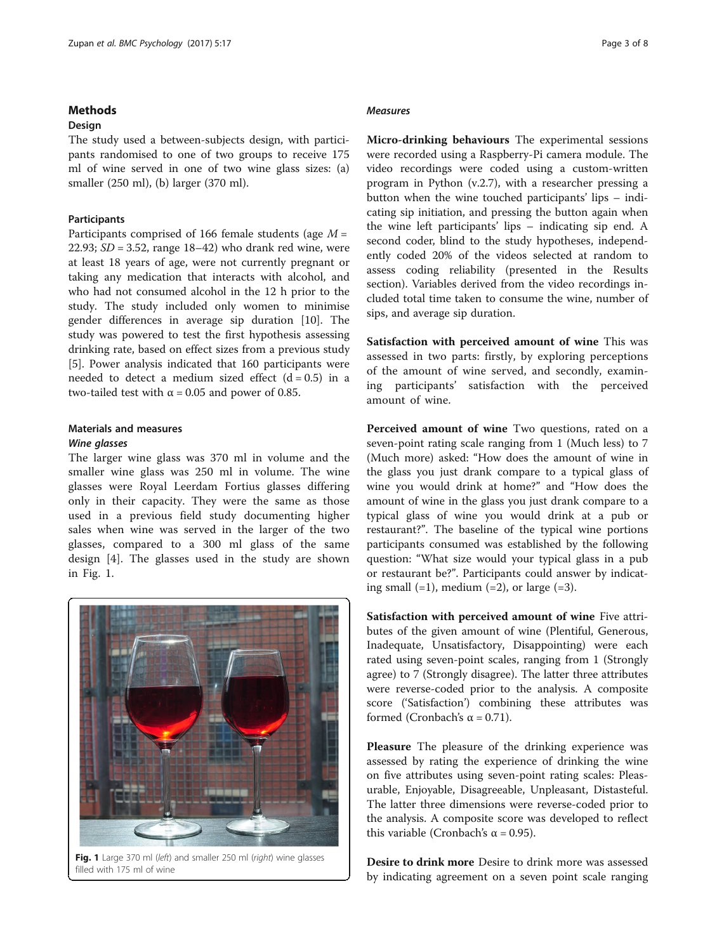#### Methods

### Design

The study used a between-subjects design, with participants randomised to one of two groups to receive 175 ml of wine served in one of two wine glass sizes: (a) smaller (250 ml), (b) larger (370 ml).

### **Participants**

Participants comprised of 166 female students (age  $M =$ 22.93;  $SD = 3.52$ , range 18–42) who drank red wine, were at least 18 years of age, were not currently pregnant or taking any medication that interacts with alcohol, and who had not consumed alcohol in the 12 h prior to the study. The study included only women to minimise gender differences in average sip duration [\[10\]](#page-7-0). The study was powered to test the first hypothesis assessing drinking rate, based on effect sizes from a previous study [[5\]](#page-7-0). Power analysis indicated that 160 participants were needed to detect a medium sized effect  $(d = 0.5)$  in a two-tailed test with  $α = 0.05$  and power of 0.85.

# Materials and measures

#### Wine alasses

The larger wine glass was 370 ml in volume and the smaller wine glass was 250 ml in volume. The wine glasses were Royal Leerdam Fortius glasses differing only in their capacity. They were the same as those used in a previous field study documenting higher sales when wine was served in the larger of the two glasses, compared to a 300 ml glass of the same design [[4\]](#page-7-0). The glasses used in the study are shown in Fig. 1.



Fig. 1 Large 370 ml (left) and smaller 250 ml (right) wine glasses filled with 175 ml of wine

#### **Measures**

Micro-drinking behaviours The experimental sessions were recorded using a Raspberry-Pi camera module. The video recordings were coded using a custom-written program in Python (v.2.7), with a researcher pressing a button when the wine touched participants' lips – indicating sip initiation, and pressing the button again when the wine left participants' lips – indicating sip end. A second coder, blind to the study hypotheses, independently coded 20% of the videos selected at random to assess coding reliability (presented in the Results section). Variables derived from the video recordings included total time taken to consume the wine, number of sips, and average sip duration.

Satisfaction with perceived amount of wine This was assessed in two parts: firstly, by exploring perceptions of the amount of wine served, and secondly, examining participants' satisfaction with the perceived amount of wine.

Perceived amount of wine Two questions, rated on a seven-point rating scale ranging from 1 (Much less) to 7 (Much more) asked: "How does the amount of wine in the glass you just drank compare to a typical glass of wine you would drink at home?" and "How does the amount of wine in the glass you just drank compare to a typical glass of wine you would drink at a pub or restaurant?". The baseline of the typical wine portions participants consumed was established by the following question: "What size would your typical glass in a pub or restaurant be?". Participants could answer by indicating small  $(=1)$ , medium  $(=2)$ , or large  $(=3)$ .

Satisfaction with perceived amount of wine Five attributes of the given amount of wine (Plentiful, Generous, Inadequate, Unsatisfactory, Disappointing) were each rated using seven-point scales, ranging from 1 (Strongly agree) to 7 (Strongly disagree). The latter three attributes were reverse-coded prior to the analysis. A composite score ('Satisfaction') combining these attributes was formed (Cronbach's  $\alpha$  = 0.71).

Pleasure The pleasure of the drinking experience was assessed by rating the experience of drinking the wine on five attributes using seven-point rating scales: Pleasurable, Enjoyable, Disagreeable, Unpleasant, Distasteful. The latter three dimensions were reverse-coded prior to the analysis. A composite score was developed to reflect this variable (Cronbach's α = 0.95).

Desire to drink more Desire to drink more was assessed by indicating agreement on a seven point scale ranging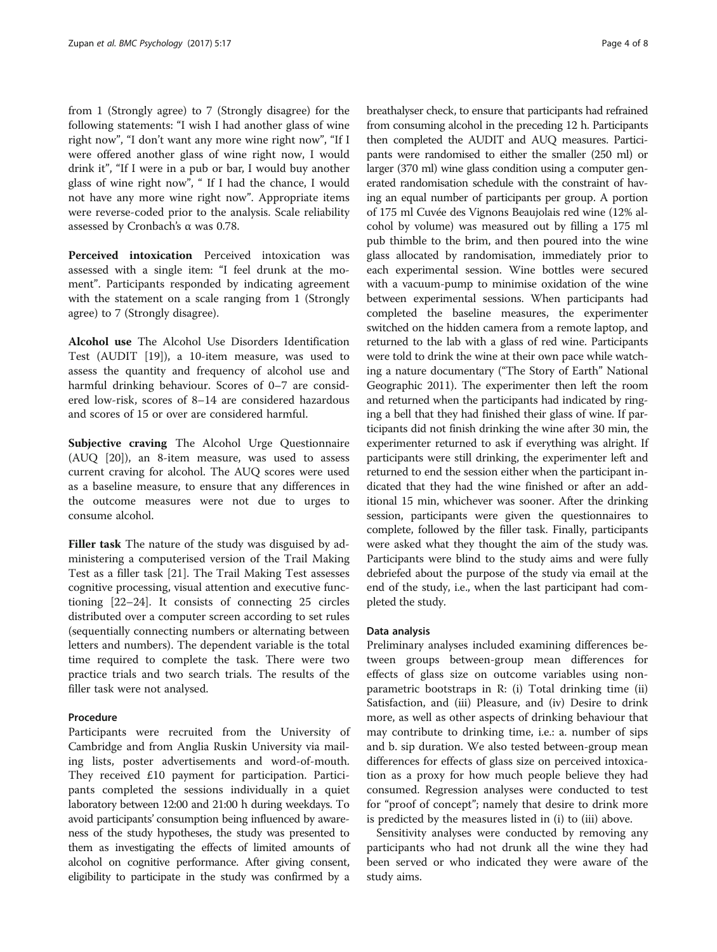from 1 (Strongly agree) to 7 (Strongly disagree) for the following statements: "I wish I had another glass of wine right now", "I don't want any more wine right now", "If I were offered another glass of wine right now, I would drink it", "If I were in a pub or bar, I would buy another glass of wine right now", " If I had the chance, I would not have any more wine right now". Appropriate items were reverse-coded prior to the analysis. Scale reliability assessed by Cronbach's α was 0.78.

Perceived intoxication Perceived intoxication was assessed with a single item: "I feel drunk at the moment". Participants responded by indicating agreement with the statement on a scale ranging from 1 (Strongly agree) to 7 (Strongly disagree).

Alcohol use The Alcohol Use Disorders Identification Test (AUDIT [\[19\]](#page-7-0)), a 10-item measure, was used to assess the quantity and frequency of alcohol use and harmful drinking behaviour. Scores of 0–7 are considered low-risk, scores of 8–14 are considered hazardous and scores of 15 or over are considered harmful.

Subjective craving The Alcohol Urge Questionnaire (AUQ [[20](#page-7-0)]), an 8-item measure, was used to assess current craving for alcohol. The AUQ scores were used as a baseline measure, to ensure that any differences in the outcome measures were not due to urges to consume alcohol.

Filler task The nature of the study was disguised by administering a computerised version of the Trail Making Test as a filler task [\[21\]](#page-7-0). The Trail Making Test assesses cognitive processing, visual attention and executive functioning [\[22](#page-7-0)–[24\]](#page-7-0). It consists of connecting 25 circles distributed over a computer screen according to set rules (sequentially connecting numbers or alternating between letters and numbers). The dependent variable is the total time required to complete the task. There were two practice trials and two search trials. The results of the filler task were not analysed.

#### Procedure

Participants were recruited from the University of Cambridge and from Anglia Ruskin University via mailing lists, poster advertisements and word-of-mouth. They received £10 payment for participation. Participants completed the sessions individually in a quiet laboratory between 12:00 and 21:00 h during weekdays. To avoid participants' consumption being influenced by awareness of the study hypotheses, the study was presented to them as investigating the effects of limited amounts of alcohol on cognitive performance. After giving consent, eligibility to participate in the study was confirmed by a

breathalyser check, to ensure that participants had refrained from consuming alcohol in the preceding 12 h. Participants then completed the AUDIT and AUQ measures. Participants were randomised to either the smaller (250 ml) or larger (370 ml) wine glass condition using a computer generated randomisation schedule with the constraint of having an equal number of participants per group. A portion of 175 ml Cuvée des Vignons Beaujolais red wine (12% alcohol by volume) was measured out by filling a 175 ml pub thimble to the brim, and then poured into the wine glass allocated by randomisation, immediately prior to each experimental session. Wine bottles were secured with a vacuum-pump to minimise oxidation of the wine between experimental sessions. When participants had completed the baseline measures, the experimenter switched on the hidden camera from a remote laptop, and returned to the lab with a glass of red wine. Participants were told to drink the wine at their own pace while watching a nature documentary ("The Story of Earth" National Geographic 2011). The experimenter then left the room and returned when the participants had indicated by ringing a bell that they had finished their glass of wine. If participants did not finish drinking the wine after 30 min, the experimenter returned to ask if everything was alright. If participants were still drinking, the experimenter left and returned to end the session either when the participant indicated that they had the wine finished or after an additional 15 min, whichever was sooner. After the drinking session, participants were given the questionnaires to complete, followed by the filler task. Finally, participants were asked what they thought the aim of the study was. Participants were blind to the study aims and were fully debriefed about the purpose of the study via email at the end of the study, i.e., when the last participant had completed the study.

#### Data analysis

Preliminary analyses included examining differences between groups between-group mean differences for effects of glass size on outcome variables using nonparametric bootstraps in R: (i) Total drinking time (ii) Satisfaction, and (iii) Pleasure, and (iv) Desire to drink more, as well as other aspects of drinking behaviour that may contribute to drinking time, i.e.: a. number of sips and b. sip duration. We also tested between-group mean differences for effects of glass size on perceived intoxication as a proxy for how much people believe they had consumed. Regression analyses were conducted to test for "proof of concept"; namely that desire to drink more is predicted by the measures listed in (i) to (iii) above.

Sensitivity analyses were conducted by removing any participants who had not drunk all the wine they had been served or who indicated they were aware of the study aims.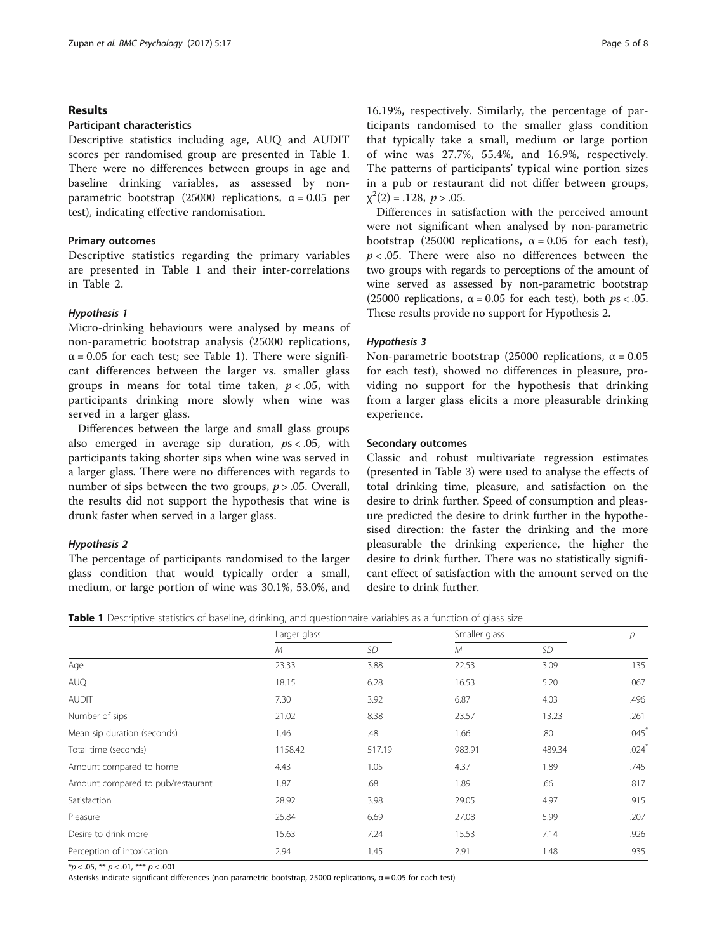#### Results

#### Participant characteristics

Descriptive statistics including age, AUQ and AUDIT scores per randomised group are presented in Table 1. There were no differences between groups in age and baseline drinking variables, as assessed by nonparametric bootstrap (25000 replications, α = 0.05 per test), indicating effective randomisation.

#### Primary outcomes

Descriptive statistics regarding the primary variables are presented in Table 1 and their inter-correlations in Table [2](#page-5-0).

Micro-drinking behaviours were analysed by means of non-parametric bootstrap analysis (25000 replications,  $\alpha$  = 0.05 for each test; see Table 1). There were significant differences between the larger vs. smaller glass groups in means for total time taken,  $p < .05$ , with participants drinking more slowly when wine was served in a larger glass.

Differences between the large and small glass groups also emerged in average sip duration,  $ps < .05$ , with participants taking shorter sips when wine was served in a larger glass. There were no differences with regards to number of sips between the two groups,  $p > .05$ . Overall, the results did not support the hypothesis that wine is drunk faster when served in a larger glass.

The percentage of participants randomised to the larger glass condition that would typically order a small, medium, or large portion of wine was 30.1%, 53.0%, and 16.19%, respectively. Similarly, the percentage of participants randomised to the smaller glass condition that typically take a small, medium or large portion of wine was 27.7%, 55.4%, and 16.9%, respectively. The patterns of participants' typical wine portion sizes in a pub or restaurant did not differ between groups,  $\chi^2(2) = .128, p > .05.$ 

Differences in satisfaction with the perceived amount were not significant when analysed by non-parametric bootstrap (25000 replications,  $\alpha = 0.05$  for each test),  $p < .05$ . There were also no differences between the two groups with regards to perceptions of the amount of wine served as assessed by non-parametric bootstrap (25000 replications,  $\alpha = 0.05$  for each test), both  $ps < .05$ . These results provide no support for Hypothesis 2.

Non-parametric bootstrap (25000 replications,  $\alpha = 0.05$ for each test), showed no differences in pleasure, providing no support for the hypothesis that drinking from a larger glass elicits a more pleasurable drinking experience.

#### Secondary outcomes

Classic and robust multivariate regression estimates (presented in Table [3\)](#page-5-0) were used to analyse the effects of total drinking time, pleasure, and satisfaction on the desire to drink further. Speed of consumption and pleasure predicted the desire to drink further in the hypothesised direction: the faster the drinking and the more pleasurable the drinking experience, the higher the desire to drink further. There was no statistically significant effect of satisfaction with the amount served on the desire to drink further.

Table 1 Descriptive statistics of baseline, drinking, and questionnaire variables as a function of glass size

|                                   | Larger glass |           | Smaller glass |           | р       |
|-----------------------------------|--------------|-----------|---------------|-----------|---------|
|                                   | M            | <b>SD</b> | M             | <b>SD</b> |         |
| Age                               | 23.33        | 3.88      | 22.53         | 3.09      | .135    |
| <b>AUQ</b>                        | 18.15        | 6.28      | 16.53         | 5.20      | .067    |
| <b>AUDIT</b>                      | 7.30         | 3.92      | 6.87          | 4.03      | .496    |
| Number of sips                    | 21.02        | 8.38      | 23.57         | 13.23     | .261    |
| Mean sip duration (seconds)       | 1.46         | .48       | 1.66          | .80       | .045    |
| Total time (seconds)              | 1158.42      | 517.19    | 983.91        | 489.34    | $.024*$ |
| Amount compared to home           | 4.43         | 1.05      | 4.37          | 1.89      | .745    |
| Amount compared to pub/restaurant | 1.87         | .68       | 1.89          | .66       | .817    |
| Satisfaction                      | 28.92        | 3.98      | 29.05         | 4.97      | .915    |
| Pleasure                          | 25.84        | 6.69      | 27.08         | 5.99      | .207    |
| Desire to drink more              | 15.63        | 7.24      | 15.53         | 7.14      | .926    |
| Perception of intoxication        | 2.94         | 1.45      | 2.91          | 1.48      | .935    |

 $**p* < .05$ ,  $** *p* < .01$ ,  $*** *p* < .001$ 

Asterisks indicate significant differences (non-parametric bootstrap, 25000 replications, α = 0.05 for each test)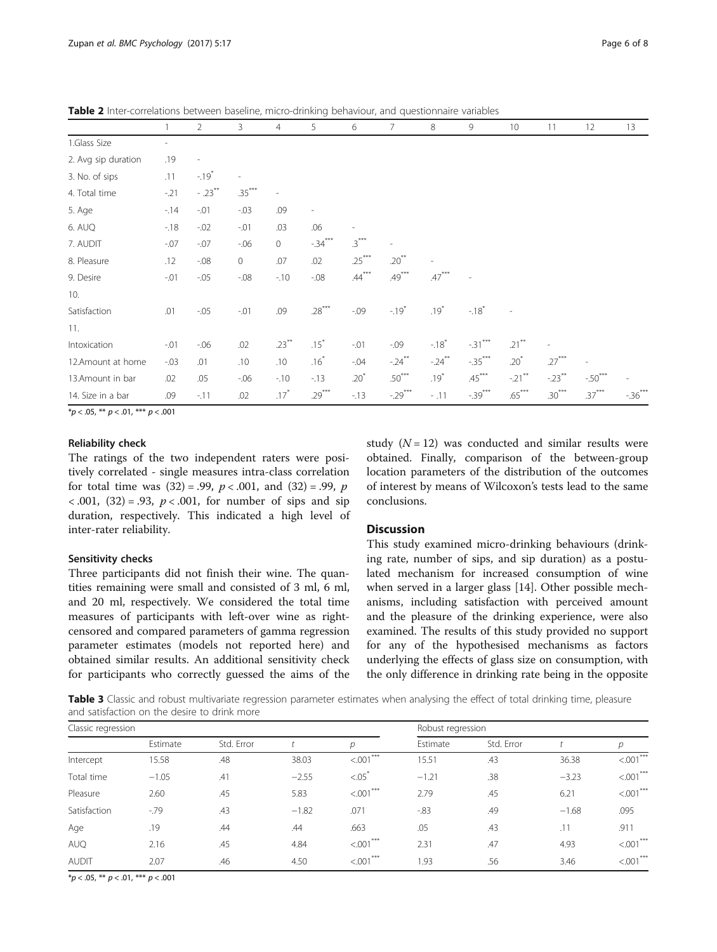|         | $\overline{2}$ | 3           | $\overline{4}$ | 5                        | 6        | $\overline{7}$ | 8                   | 9                  | 10 <sup>°</sup>      | 11       | 12       | 13       |
|---------|----------------|-------------|----------------|--------------------------|----------|----------------|---------------------|--------------------|----------------------|----------|----------|----------|
|         |                |             |                |                          |          |                |                     |                    |                      |          |          |          |
| .19     |                |             |                |                          |          |                |                     |                    |                      |          |          |          |
| .11     | $-19*$         |             |                |                          |          |                |                     |                    |                      |          |          |          |
| $-21$   | $-.23***$      | $.35***$    |                |                          |          |                |                     |                    |                      |          |          |          |
| $-14$   | $-.01$         | $-.03$      | .09            | $\overline{\phantom{a}}$ |          |                |                     |                    |                      |          |          |          |
| $-18$   | $-0.02$        | $-.01$      | .03            | .06                      |          |                |                     |                    |                      |          |          |          |
| $-0.07$ | $-0.07$        | $-06$       | $\circ$        | $-.34***$                |          |                |                     |                    |                      |          |          |          |
| .12     | $-0.08$        | $\mathbf 0$ | .07            | .02                      | $.25***$ | $.20***$       |                     |                    |                      |          |          |          |
| $-.01$  | $-0.05$        | $-0.08$     | $-10$          | $-08$                    | $.44***$ | $.49***$       | $.47***$            |                    |                      |          |          |          |
|         |                |             |                |                          |          |                |                     |                    |                      |          |          |          |
| .01     | $-0.05$        | $-.01$      | .09            | $.28***$                 | $-0.09$  | $-19*$         | $.19*$              | $-18$ <sup>*</sup> |                      |          |          |          |
|         |                |             |                |                          |          |                |                     |                    |                      |          |          |          |
| $-.01$  | $-06$          | .02         | $.23***$       | $.15*$                   | $-.01$   | $-0.09$        | $-18$ <sup>*</sup>  | $-31***$           | $.21$ <sup>**</sup>  |          |          |          |
| $-0.03$ | .01            | .10         | .10            | $.16*$                   | $-0.04$  | $-.24***$      | $-24$ <sup>**</sup> | $-35***$           | $.20*$               | $.27***$ |          |          |
| .02     | .05            | $-0.06$     | $-10$          | $-13$                    | $.20*$   | $.50***$       | $.19*$              | $.45***$           | $-.21$ <sup>**</sup> | $-23***$ | $-50***$ |          |
| .09     | $-11$          | .02         | $.17*$         | $.29***$                 | $-13$    | $-.29***$      | $-.11$              | $-39***$           | $.65***$             | $.30***$ | $.37***$ | $-36***$ |
|         | $\mathbf{1}$   |             |                |                          |          | $.3***$        |                     |                    |                      |          |          |          |

<span id="page-5-0"></span>Table 2 Inter-correlations between baseline, micro-drinking behaviour, and questionnaire variables

 $*p < .05$ ,  $** p < .01$ ,  $*** p < .001$ 

#### Reliability check

The ratings of the two independent raters were positively correlated - single measures intra-class correlation for total time was  $(32) = .99$ ,  $p < .001$ , and  $(32) = .99$ , p  $\langle 0.001, (32) = .93, p \langle 0.001, \text{ for number of signs and sip} \rangle$ duration, respectively. This indicated a high level of inter-rater reliability.

#### Sensitivity checks

Three participants did not finish their wine. The quantities remaining were small and consisted of 3 ml, 6 ml, and 20 ml, respectively. We considered the total time measures of participants with left-over wine as rightcensored and compared parameters of gamma regression parameter estimates (models not reported here) and obtained similar results. An additional sensitivity check for participants who correctly guessed the aims of the study  $(N = 12)$  was conducted and similar results were obtained. Finally, comparison of the between-group location parameters of the distribution of the outcomes of interest by means of Wilcoxon's tests lead to the same conclusions.

#### **Discussion**

This study examined micro-drinking behaviours (drinking rate, number of sips, and sip duration) as a postulated mechanism for increased consumption of wine when served in a larger glass [[14\]](#page-7-0). Other possible mechanisms, including satisfaction with perceived amount and the pleasure of the drinking experience, were also examined. The results of this study provided no support for any of the hypothesised mechanisms as factors underlying the effects of glass size on consumption, with the only difference in drinking rate being in the opposite

Table 3 Classic and robust multivariate regression parameter estimates when analysing the effect of total drinking time, pleasure and satisfaction on the desire to drink more

| Classic regression |          |            | Robust regression |                     |          |            |         |                 |
|--------------------|----------|------------|-------------------|---------------------|----------|------------|---------|-----------------|
|                    | Estimate | Std. Error |                   | $\mathcal{D}$       | Estimate | Std. Error |         | D               |
| Intercept          | 15.58    | .48        | 38.03             | $<.001***$          | 15.51    | .43        | 36.38   | $< 0.001$ ***   |
| Total time         | $-1.05$  | .41        | $-2.55$           | $<.05$ <sup>*</sup> | $-1.21$  | .38        | $-3.23$ | $< .001$ **'    |
| Pleasure           | 2.60     | .45        | 5.83              | $***$<br>< .001     | 2.79     | .45        | 6.21    | $<.001$ **'     |
| Satisfaction       | $-79$    | .43        | $-1.82$           | .071                | $-0.83$  | .49        | $-1.68$ | .095            |
| Age                | .19      | .44        | .44               | .663                | .05      | .43        | .11     | .911            |
| <b>AUQ</b>         | 2.16     | .45        | 4.84              | < 0.001             | 2.31     | .47        | 4.93    | $***$<br>< .001 |
| <b>AUDIT</b>       | 2.07     | .46        | 4.50              | $< 001$ ***         | 1.93     | .56        | 3.46    | $<.001***$      |

 $*p < .05$ ,  $** p < .01$ ,  $*** p < .001$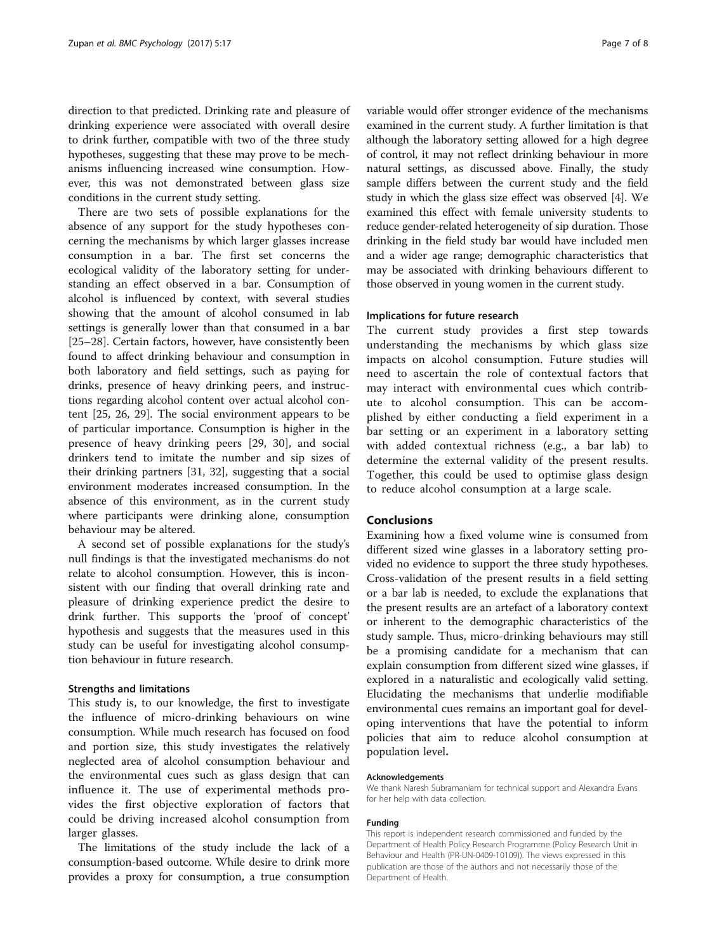direction to that predicted. Drinking rate and pleasure of drinking experience were associated with overall desire to drink further, compatible with two of the three study hypotheses, suggesting that these may prove to be mechanisms influencing increased wine consumption. However, this was not demonstrated between glass size conditions in the current study setting.

There are two sets of possible explanations for the absence of any support for the study hypotheses concerning the mechanisms by which larger glasses increase consumption in a bar. The first set concerns the ecological validity of the laboratory setting for understanding an effect observed in a bar. Consumption of alcohol is influenced by context, with several studies showing that the amount of alcohol consumed in lab settings is generally lower than that consumed in a bar [[25](#page-7-0)–[28](#page-7-0)]. Certain factors, however, have consistently been found to affect drinking behaviour and consumption in both laboratory and field settings, such as paying for drinks, presence of heavy drinking peers, and instructions regarding alcohol content over actual alcohol content [[25, 26, 29\]](#page-7-0). The social environment appears to be of particular importance. Consumption is higher in the presence of heavy drinking peers [\[29](#page-7-0), [30\]](#page-7-0), and social drinkers tend to imitate the number and sip sizes of their drinking partners [[31](#page-7-0), [32](#page-7-0)], suggesting that a social environment moderates increased consumption. In the absence of this environment, as in the current study where participants were drinking alone, consumption behaviour may be altered.

A second set of possible explanations for the study's null findings is that the investigated mechanisms do not relate to alcohol consumption. However, this is inconsistent with our finding that overall drinking rate and pleasure of drinking experience predict the desire to drink further. This supports the 'proof of concept' hypothesis and suggests that the measures used in this study can be useful for investigating alcohol consumption behaviour in future research.

#### Strengths and limitations

This study is, to our knowledge, the first to investigate the influence of micro-drinking behaviours on wine consumption. While much research has focused on food and portion size, this study investigates the relatively neglected area of alcohol consumption behaviour and the environmental cues such as glass design that can influence it. The use of experimental methods provides the first objective exploration of factors that could be driving increased alcohol consumption from larger glasses.

The limitations of the study include the lack of a consumption-based outcome. While desire to drink more provides a proxy for consumption, a true consumption variable would offer stronger evidence of the mechanisms examined in the current study. A further limitation is that although the laboratory setting allowed for a high degree of control, it may not reflect drinking behaviour in more natural settings, as discussed above. Finally, the study sample differs between the current study and the field study in which the glass size effect was observed [[4\]](#page-7-0). We examined this effect with female university students to reduce gender-related heterogeneity of sip duration. Those drinking in the field study bar would have included men and a wider age range; demographic characteristics that may be associated with drinking behaviours different to those observed in young women in the current study.

#### Implications for future research

The current study provides a first step towards understanding the mechanisms by which glass size impacts on alcohol consumption. Future studies will need to ascertain the role of contextual factors that may interact with environmental cues which contribute to alcohol consumption. This can be accomplished by either conducting a field experiment in a bar setting or an experiment in a laboratory setting with added contextual richness (e.g., a bar lab) to determine the external validity of the present results. Together, this could be used to optimise glass design to reduce alcohol consumption at a large scale.

#### Conclusions

Examining how a fixed volume wine is consumed from different sized wine glasses in a laboratory setting provided no evidence to support the three study hypotheses. Cross-validation of the present results in a field setting or a bar lab is needed, to exclude the explanations that the present results are an artefact of a laboratory context or inherent to the demographic characteristics of the study sample. Thus, micro-drinking behaviours may still be a promising candidate for a mechanism that can explain consumption from different sized wine glasses, if explored in a naturalistic and ecologically valid setting. Elucidating the mechanisms that underlie modifiable environmental cues remains an important goal for developing interventions that have the potential to inform policies that aim to reduce alcohol consumption at population level.

#### Acknowledgements

We thank Naresh Subramaniam for technical support and Alexandra Evans for her help with data collection.

#### Funding

This report is independent research commissioned and funded by the Department of Health Policy Research Programme (Policy Research Unit in Behaviour and Health (PR-UN-0409-10109)). The views expressed in this publication are those of the authors and not necessarily those of the Department of Health.